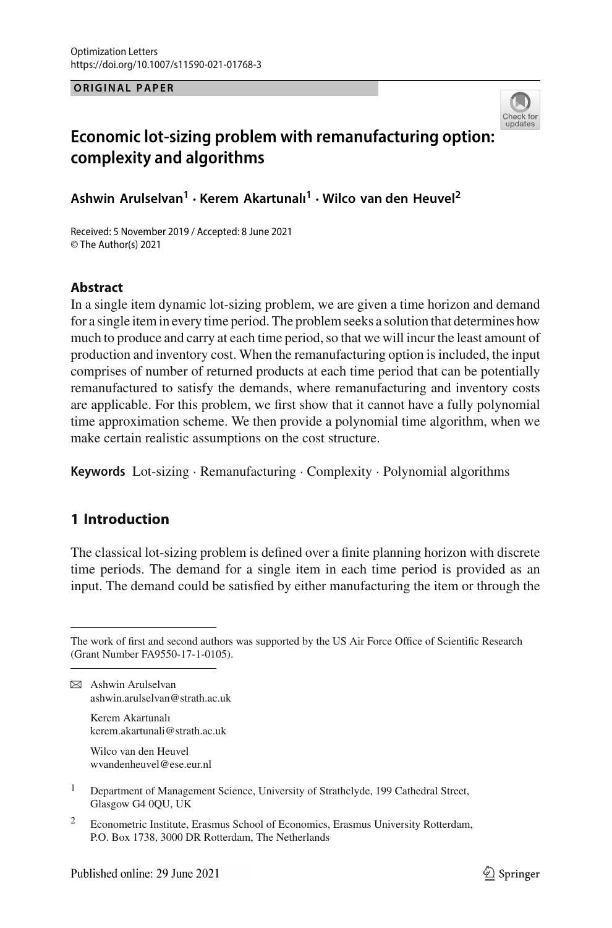**ORIGINAL PAPER**



## **Economic lot-sizing problem with remanufacturing option: complexity and algorithms**

**Ashwin Arulselvan1 · Kerem Akartunalı<sup>1</sup> · Wilco van den Heuvel2**

Received: 5 November 2019 / Accepted: 8 June 2021 © The Author(s) 2021

### **Abstract**

In a single item dynamic lot-sizing problem, we are given a time horizon and demand for a single item in every time period. The problem seeks a solution that determines how much to produce and carry at each time period, so that we will incur the least amount of production and inventory cost. When the remanufacturing option is included, the input comprises of number of returned products at each time period that can be potentially remanufactured to satisfy the demands, where remanufacturing and inventory costs are applicable. For this problem, we first show that it cannot have a fully polynomial time approximation scheme. We then provide a polynomial time algorithm, when we make certain realistic assumptions on the cost structure.

**Keywords** Lot-sizing · Remanufacturing · Complexity · Polynomial algorithms

### **1 Introduction**

The classical lot-sizing problem is defined over a finite planning horizon with discrete time periods. The demand for a single item in each time period is provided as an input. The demand could be satisfied by either manufacturing the item or through the

 $\boxtimes$  Ashwin Arulselvan ashwin.arulselvan@strath.ac.uk

> Kerem Akartunalı kerem.akartunali@strath.ac.uk

Wilco van den Heuvel wvandenheuvel@ese.eur.nl

- <sup>1</sup> Department of Management Science, University of Strathclyde, 199 Cathedral Street, Glasgow G4 0QU, UK
- <sup>2</sup> Econometric Institute, Erasmus School of Economics, Erasmus University Rotterdam, P.O. Box 1738, 3000 DR Rotterdam, The Netherlands

The work of first and second authors was supported by the US Air Force Office of Scientific Research (Grant Number FA9550-17-1-0105).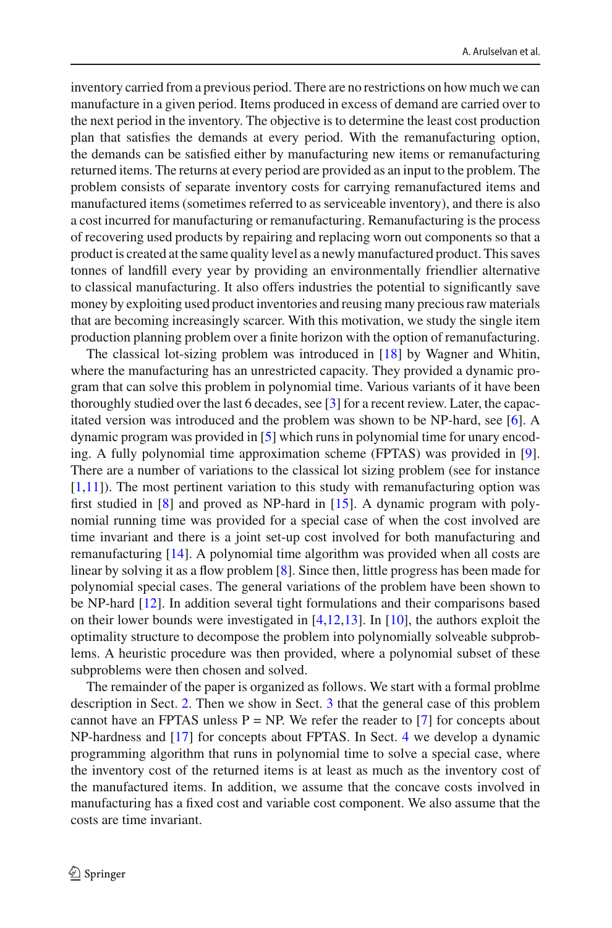inventory carried from a previous period. There are no restrictions on how much we can manufacture in a given period. Items produced in excess of demand are carried over to the next period in the inventory. The objective is to determine the least cost production plan that satisfies the demands at every period. With the remanufacturing option, the demands can be satisfied either by manufacturing new items or remanufacturing returned items. The returns at every period are provided as an input to the problem. The problem consists of separate inventory costs for carrying remanufactured items and manufactured items (sometimes referred to as serviceable inventory), and there is also a cost incurred for manufacturing or remanufacturing. Remanufacturing is the process of recovering used products by repairing and replacing worn out components so that a product is created at the same quality level as a newly manufactured product. This saves tonnes of landfill every year by providing an environmentally friendlier alternative to classical manufacturing. It also offers industries the potential to significantly save money by exploiting used product inventories and reusing many precious raw materials that are becoming increasingly scarcer. With this motivation, we study the single item production planning problem over a finite horizon with the option of remanufacturing.

The classical lot-sizing problem was introduced in [\[18\]](#page-11-0) by Wagner and Whitin, where the manufacturing has an unrestricted capacity. They provided a dynamic program that can solve this problem in polynomial time. Various variants of it have been thoroughly studied over the last 6 decades, see [\[3\]](#page-11-1) for a recent review. Later, the capacitated version was introduced and the problem was shown to be NP-hard, see [\[6](#page-11-2)]. A dynamic program was provided in [\[5](#page-11-3)] which runs in polynomial time for unary encoding. A fully polynomial time approximation scheme (FPTAS) was provided in [\[9](#page-11-4)]. There are a number of variations to the classical lot sizing problem (see for instance  $[1,11]$  $[1,11]$  $[1,11]$ ). The most pertinent variation to this study with remanufacturing option was first studied in [\[8\]](#page-11-7) and proved as NP-hard in [\[15\]](#page-11-8). A dynamic program with polynomial running time was provided for a special case of when the cost involved are time invariant and there is a joint set-up cost involved for both manufacturing and remanufacturing [\[14](#page-11-9)]. A polynomial time algorithm was provided when all costs are linear by solving it as a flow problem [\[8\]](#page-11-7). Since then, little progress has been made for polynomial special cases. The general variations of the problem have been shown to be NP-hard [\[12\]](#page-11-10). In addition several tight formulations and their comparisons based on their lower bounds were investigated in [\[4](#page-11-11)[,12](#page-11-10)[,13](#page-11-12)]. In [\[10](#page-11-13)], the authors exploit the optimality structure to decompose the problem into polynomially solveable subproblems. A heuristic procedure was then provided, where a polynomial subset of these subproblems were then chosen and solved.

The remainder of the paper is organized as follows. We start with a formal problme description in Sect. [2.](#page-2-0) Then we show in Sect. [3](#page-3-0) that the general case of this problem cannot have an FPTAS unless  $P = NP$ . We refer the reader to [\[7](#page-11-14)] for concepts about NP-hardness and [\[17\]](#page-11-15) for concepts about FPTAS. In Sect. [4](#page-5-0) we develop a dynamic programming algorithm that runs in polynomial time to solve a special case, where the inventory cost of the returned items is at least as much as the inventory cost of the manufactured items. In addition, we assume that the concave costs involved in manufacturing has a fixed cost and variable cost component. We also assume that the costs are time invariant.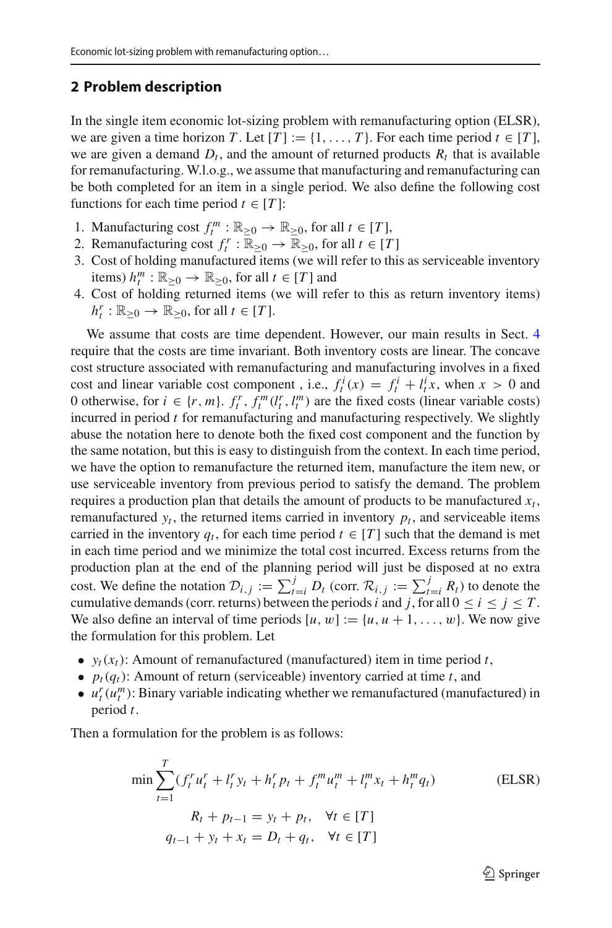#### <span id="page-2-0"></span>**2 Problem description**

In the single item economic lot-sizing problem with remanufacturing option (ELSR), we are given a time horizon *T*. Let  $[T] := \{1, \ldots, T\}$ . For each time period  $t \in [T]$ , we are given a demand  $D_t$ , and the amount of returned products  $R_t$  that is available for remanufacturing. W.l.o.g., we assume that manufacturing and remanufacturing can be both completed for an item in a single period. We also define the following cost functions for each time period  $t \in [T]$ :

- 1. Manufacturing cost  $f_t^m : \mathbb{R}_{\geq 0} \to \mathbb{R}_{\geq 0}$ , for all  $t \in [T]$ ,
- 2. Remanufacturing cost  $f_t^r : \mathbb{R}_{\geq 0} \to \mathbb{R}_{\geq 0}$ , for all  $t \in [T]$
- 3. Cost of holding manufactured items (we will refer to this as serviceable inventory items)  $h_t^m : \mathbb{R}_{\geq 0} \to \mathbb{R}_{\geq 0}$ , for all  $t \in [T]$  and
- 4. Cost of holding returned items (we will refer to this as return inventory items)  $h_t^r : \mathbb{R}_{\geq 0} \to \mathbb{R}_{\geq 0}$ , for all  $t \in [T]$ .

We assume that costs are time dependent. However, our main results in Sect. [4](#page-5-0) require that the costs are time invariant. Both inventory costs are linear. The concave cost structure associated with remanufacturing and manufacturing involves in a fixed cost and linear variable cost component, i.e.,  $f_t^i(x) = f_t^i + l_t^i x$ , when  $x > 0$  and 0 otherwise, for  $i \in \{r, m\}$ .  $f_t^r$ ,  $f_t^m(l_t^r, l_t^m)$  are the fixed costs (linear variable costs) incurred in period *t* for remanufacturing and manufacturing respectively. We slightly abuse the notation here to denote both the fixed cost component and the function by the same notation, but this is easy to distinguish from the context. In each time period, we have the option to remanufacture the returned item, manufacture the item new, or use serviceable inventory from previous period to satisfy the demand. The problem requires a production plan that details the amount of products to be manufactured  $x_t$ , remanufactured  $y_t$ , the returned items carried in inventory  $p_t$ , and serviceable items carried in the inventory  $q_t$ , for each time period  $t \in [T]$  such that the demand is met in each time period and we minimize the total cost incurred. Excess returns from the production plan at the end of the planning period will just be disposed at no extra cost. We define the notation  $\mathcal{D}_{i,j} := \sum_{t=i}^{j} D_t$  (corr.  $\mathcal{R}_{i,j} := \sum_{t=i}^{j} R_t$ ) to denote the cumulative demands (corr. returns) between the periods *i* and *j*, for all  $0 \le i \le j \le T$ . We also define an interval of time periods  $[u, w] := \{u, u + 1, \dots, w\}$ . We now give the formulation for this problem. Let

- $y_t(x_t)$ : Amount of remanufactured (manufactured) item in time period *t*,
- $p_t(q_t)$ : Amount of return (serviceable) inventory carried at time *t*, and
- $u_t^r(u_t^m)$ : Binary variable indicating whether we remanufactured (manufactured) in period *t*.

Then a formulation for the problem is as follows:

$$
\min \sum_{t=1}^{T} (f_t^r u_t^r + l_t^r y_t + h_t^r p_t + f_t^m u_t^m + l_t^m x_t + h_t^m q_t)
$$
\n(ELSR)  
\n
$$
R_t + p_{t-1} = y_t + p_t, \quad \forall t \in [T]
$$
\n
$$
q_{t-1} + y_t + x_t = D_t + q_t, \quad \forall t \in [T]
$$

 $\mathcal{D}$  Springer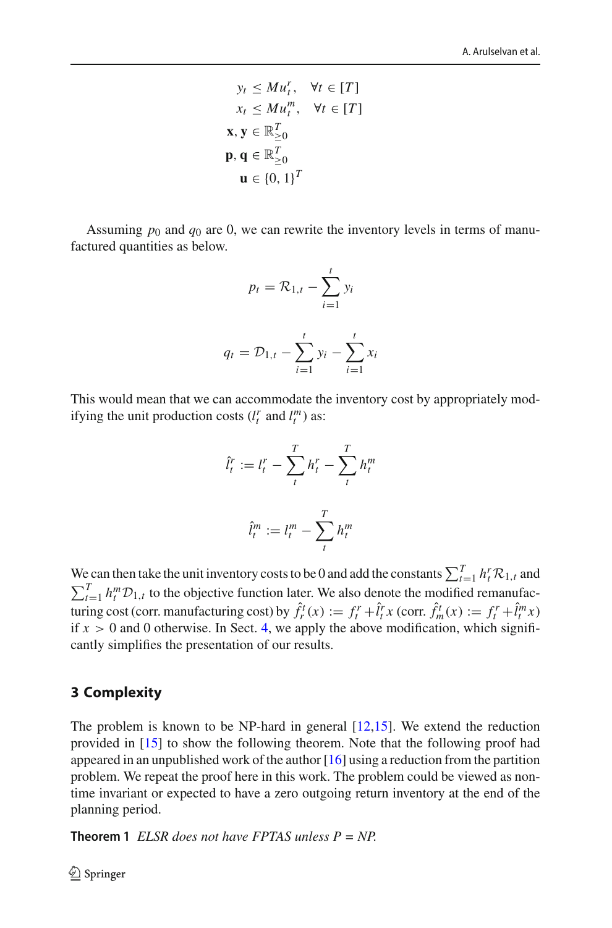$$
y_t \le M u_t^r, \quad \forall t \in [T]
$$
  
\n
$$
x_t \le M u_t^m, \quad \forall t \in [T]
$$
  
\n
$$
\mathbf{x}, \mathbf{y} \in \mathbb{R}_{\ge 0}^T
$$
  
\n
$$
\mathbf{p}, \mathbf{q} \in \mathbb{R}_{\ge 0}^T
$$
  
\n
$$
\mathbf{u} \in \{0, 1\}^T
$$

Assuming  $p_0$  and  $q_0$  are 0, we can rewrite the inventory levels in terms of manufactured quantities as below.

$$
p_t = \mathcal{R}_{1,t} - \sum_{i=1}^{t} y_i
$$

$$
q_t = \mathcal{D}_{1,t} - \sum_{i=1}^{t} y_i - \sum_{i=1}^{t} x_i
$$

This would mean that we can accommodate the inventory cost by appropriately modifying the unit production costs  $(l_t^r \text{ and } l_t^m)$  as:

$$
\hat{l}_t^r := l_t^r - \sum_t^T h_t^r - \sum_t^T h_t^m
$$

$$
\hat{l}_t^m := l_t^m - \sum_t^T h_t^m
$$

We can then take the unit inventory costs to be 0 and add the constants  $\sum_{t=1}^{T} h_t^r \mathcal{R}_{1,t}$  and  $\sum_{t=1}^{T} h_t^m \mathcal{D}_{1,t}$  to the objective function later. We also denote the modified remanufacturing cost (corr. manufacturing cost) by  $\hat{f}_r^t(x) := f_t^r + \hat{l}_t^r x$  (corr.  $\hat{f}_m^t(x) := f_t^r + \hat{l}_t^m x$ ) if  $x > 0$  and 0 otherwise. In Sect. [4,](#page-5-0) we apply the above modification, which significantly simplifies the presentation of our results.

### <span id="page-3-0"></span>**3 Complexity**

The problem is known to be NP-hard in general  $[12,15]$  $[12,15]$ . We extend the reduction provided in [\[15\]](#page-11-8) to show the following theorem. Note that the following proof had appeared in an unpublished work of the author [\[16\]](#page-11-16) using a reduction from the partition problem. We repeat the proof here in this work. The problem could be viewed as nontime invariant or expected to have a zero outgoing return inventory at the end of the planning period.

**Theorem 1** *ELSR does not have FPTAS unless*  $P = NP$ *.*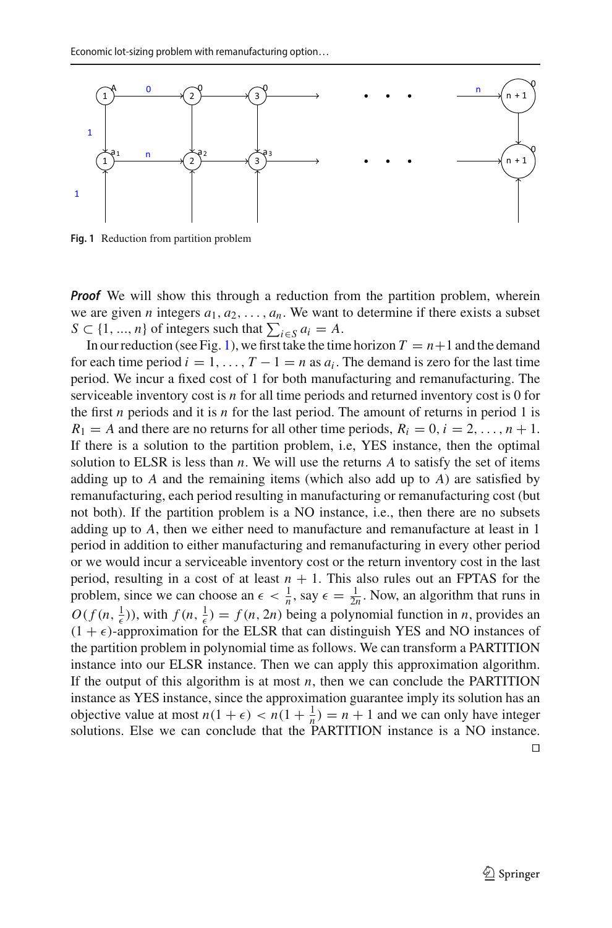

<span id="page-4-0"></span>**Fig. 1** Reduction from partition problem

*Proof* We will show this through a reduction from the partition problem, wherein we are given *n* integers  $a_1, a_2, \ldots, a_n$ . We want to determine if there exists a subset  $S \subset \{1, ..., n\}$  of integers such that  $\sum_{i \in S} a_i = A$ .

In our reduction (see Fig. [1\)](#page-4-0), we first take the time horizon  $T = n+1$  and the demand for each time period  $i = 1, \ldots, T - 1 = n$  as  $a_i$ . The demand is zero for the last time period. We incur a fixed cost of 1 for both manufacturing and remanufacturing. The serviceable inventory cost is *n* for all time periods and returned inventory cost is 0 for the first *n* periods and it is *n* for the last period. The amount of returns in period 1 is  $R_1 = A$  and there are no returns for all other time periods,  $R_i = 0, i = 2, \ldots, n + 1$ . If there is a solution to the partition problem, i.e, YES instance, then the optimal solution to ELSR is less than *n*. We will use the returns *A* to satisfy the set of items adding up to *A* and the remaining items (which also add up to *A*) are satisfied by remanufacturing, each period resulting in manufacturing or remanufacturing cost (but not both). If the partition problem is a NO instance, i.e., then there are no subsets adding up to *A*, then we either need to manufacture and remanufacture at least in 1 period in addition to either manufacturing and remanufacturing in every other period or we would incur a serviceable inventory cost or the return inventory cost in the last period, resulting in a cost of at least  $n + 1$ . This also rules out an FPTAS for the problem, since we can choose an  $\epsilon < \frac{1}{n}$ , say  $\epsilon = \frac{1}{2n}$ . Now, an algorithm that runs in  $O(f(n, \frac{1}{\epsilon}))$ , with  $f(n, \frac{1}{\epsilon}) = f(n, 2n)$  being a polynomial function in *n*, provides an  $(1 + \epsilon)$ -approximation for the ELSR that can distinguish YES and NO instances of the partition problem in polynomial time as follows. We can transform a PARTITION instance into our ELSR instance. Then we can apply this approximation algorithm. If the output of this algorithm is at most  $n$ , then we can conclude the PARTITION instance as YES instance, since the approximation guarantee imply its solution has an objective value at most  $n(1 + \epsilon) < n(1 + \frac{1}{n}) = n + 1$  and we can only have integer solutions. Else we can conclude that the PARTITION instance is a NO instance.  $\Box$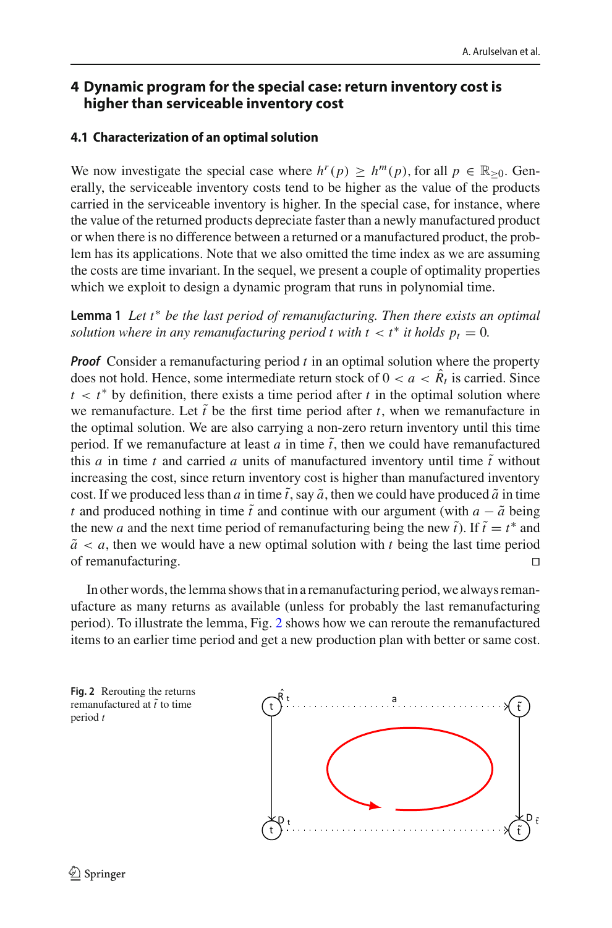### <span id="page-5-0"></span>**4 Dynamic program for the special case: return inventory cost is higher than serviceable inventory cost**

# **4.1 Characterization of an optimal solution**

We now investigate the special case where  $h^r(p) \ge h^m(p)$ , for all  $p \in \mathbb{R}_{\geq 0}$ . Generally, the serviceable inventory costs tend to be higher as the value of the products carried in the serviceable inventory is higher. In the special case, for instance, where the value of the returned products depreciate faster than a newly manufactured product or when there is no difference between a returned or a manufactured product, the problem has its applications. Note that we also omitted the time index as we are assuming the costs are time invariant. In the sequel, we present a couple of optimality properties which we exploit to design a dynamic program that runs in polynomial time.

<span id="page-5-2"></span>**Lemma 1** *Let t*∗ *be the last period of remanufacturing. Then there exists an optimal solution where in any remanufacturing period t with*  $t < t^*$  *it holds*  $p_t = 0$ *.* 

*Proof* Consider a remanufacturing period *t* in an optimal solution where the property does not hold. Hence, some intermediate return stock of  $0 < a < \hat{R}<sub>t</sub>$  is carried. Since  $t < t^*$  by definition, there exists a time period after  $t$  in the optimal solution where we remanufacture. Let  $\tilde{t}$  be the first time period after  $t$ , when we remanufacture in the optimal solution. We are also carrying a non-zero return inventory until this time period. If we remanufacture at least  $a$  in time  $\tilde{t}$ , then we could have remanufactured this *a* in time *t* and carried *a* units of manufactured inventory until time  $\tilde{t}$  without increasing the cost, since return inventory cost is higher than manufactured inventory cost. If we produced less than *a* in time  $\tilde{t}$ , say  $\tilde{a}$ , then we could have produced  $\tilde{a}$  in time *t* and produced nothing in time  $\tilde{t}$  and continue with our argument (with  $a - \tilde{a}$  being the new *a* and the next time period of remanufacturing being the new  $\tilde{t}$ ). If  $\tilde{t} = t^*$  and  $\tilde{a}$  < *a*, then we would have a new optimal solution with *t* being the last time period of remanufacturing of remanufacturing. 

In other words, the lemma shows that in a remanufacturing period, we always remanufacture as many returns as available (unless for probably the last remanufacturing period). To illustrate the lemma, Fig. [2](#page-5-1) shows how we can reroute the remanufactured items to an earlier time period and get a new production plan with better or same cost.

<span id="page-5-3"></span><span id="page-5-1"></span>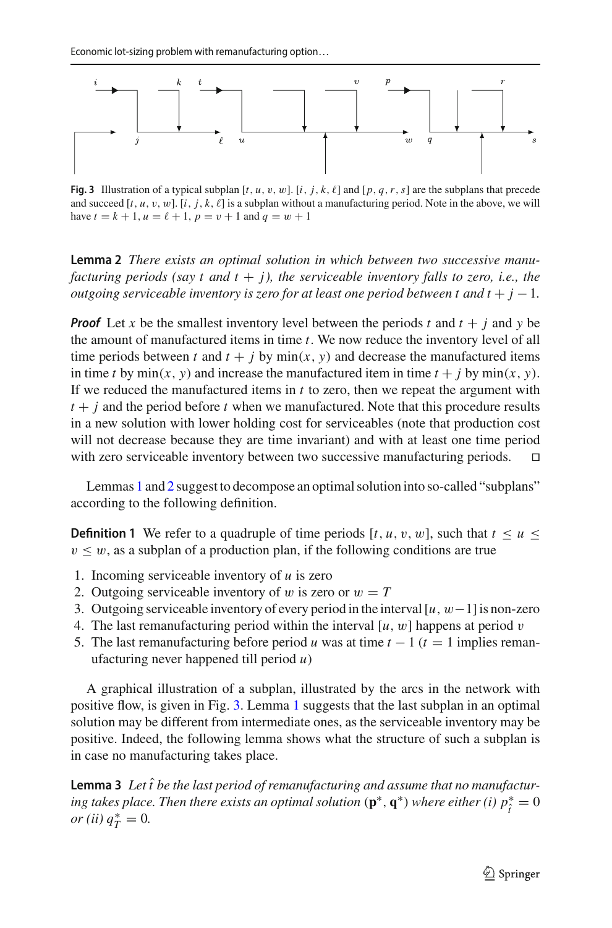

<span id="page-6-0"></span>**Fig. 3** Illustration of a typical subplan  $[t, u, v, w]$ .  $[i, j, k, \ell]$  and  $[p, q, r, s]$  are the subplans that precede and succeed  $[t, u, v, w]$ .  $[i, j, k, \ell]$  is a subplan without a manufacturing period. Note in the above, we will have  $t = k + 1$ ,  $u = \ell + 1$ ,  $p = v + 1$  and  $q = w + 1$ 

**Lemma 2** *There exists an optimal solution in which between two successive manufacturing periods (say t and t + j), the serviceable inventory falls to zero, i.e., the outgoing serviceable inventory is zero for at least one period between t and t* +  $j - 1$ *.* 

*Proof* Let *x* be the smallest inventory level between the periods *t* and  $t + j$  and *y* be the amount of manufactured items in time *t*. We now reduce the inventory level of all time periods between *t* and  $t + j$  by min(*x*, *y*) and decrease the manufactured items in time *t* by min(*x*, *y*) and increase the manufactured item in time  $t + j$  by min(*x*, *y*). If we reduced the manufactured items in *t* to zero, then we repeat the argument with  $t + j$  and the period before  $t$  when we manufactured. Note that this procedure results in a new solution with lower holding cost for serviceables (note that production cost will not decrease because they are time invariant) and with at least one time period with zero serviceable inventory between two successive manufacturing periods. 

Lemmas [1](#page-5-2) and [2](#page-5-3) suggest to decompose an optimal solution into so-called "subplans" according to the following definition.

**Definition 1** We refer to a quadruple of time periods  $[t, u, v, w]$ , such that  $t \le u \le$  $v \leq w$ , as a subplan of a production plan, if the following conditions are true

- 1. Incoming serviceable inventory of *u* is zero
- 2. Outgoing serviceable inventory of w is zero or  $w = T$
- 3. Outgoing serviceable inventory of every period in the interval[*u*, w−1]is non-zero
- 4. The last remanufacturing period within the interval  $[u, w]$  happens at period v
- 5. The last remanufacturing before period *u* was at time  $t 1$  ( $t = 1$  implies remanufacturing never happened till period *u*)

A graphical illustration of a subplan, illustrated by the arcs in the network with positive flow, is given in Fig. [3.](#page-6-0) Lemma [1](#page-5-2) suggests that the last subplan in an optimal solution may be different from intermediate ones, as the serviceable inventory may be positive. Indeed, the following lemma shows what the structure of such a subplan is in case no manufacturing takes place.

<span id="page-6-1"></span>**Lemma 3** Let  $\hat{t}$  be the last period of remanufacturing and assume that no manufactur*ing takes place. Then there exists an optimal solution*  $(\mathbf{p}^*, \mathbf{q}^*)$  *where either (i)*  $p_i^* = 0$ *or* (*ii*)  $q_T^* = 0$ .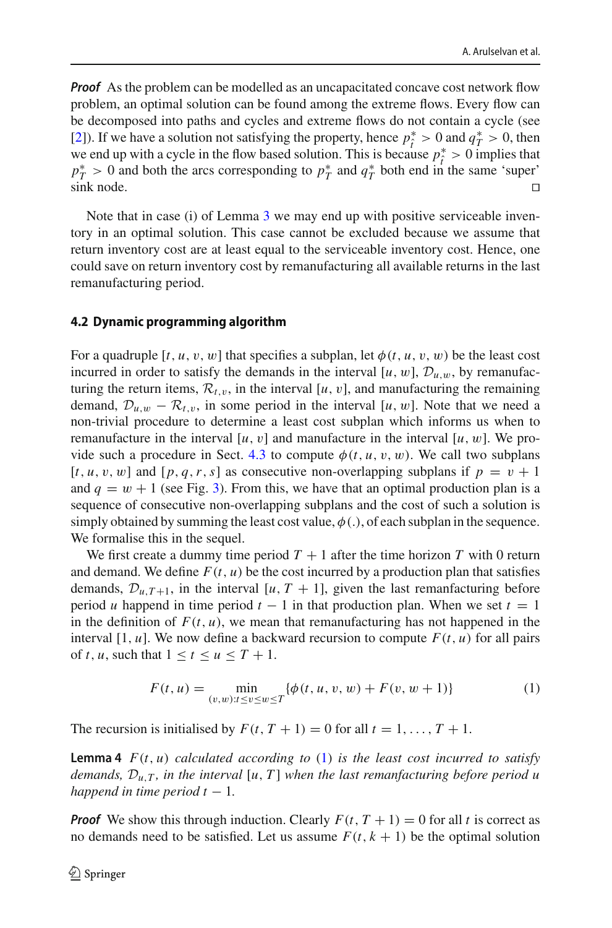*Proof* As the problem can be modelled as an uncapacitated concave cost network flow problem, an optimal solution can be found among the extreme flows. Every flow can be decomposed into paths and cycles and extreme flows do not contain a cycle (see [\[2](#page-11-17)]). If we have a solution not satisfying the property, hence  $p_i^* > 0$  and  $q_i^* > 0$ , then  $t_1$ ,  $t_2$  is the flow based solution. This is because  $p_i^* > 0$  implies that  $t_1$  is the flow based solution. This is because  $p_i^* > 0$  implies that  $t_1$  is the solution.  $p_T^* > 0$  and both the arcs corresponding to  $p_T^*$  and  $q_T^*$  both end in the same 'super' sink node.  $\Box$ 

Note that in case (i) of Lemma [3](#page-6-1) we may end up with positive serviceable inventory in an optimal solution. This case cannot be excluded because we assume that return inventory cost are at least equal to the serviceable inventory cost. Hence, one could save on return inventory cost by remanufacturing all available returns in the last remanufacturing period.

#### 4.2 Dynamic programming algorithm **4.2 Dynamic programming algorithm**

For a quadruple  $[t, u, v, w]$  that specifies a subplan, let  $\phi(t, u, v, w)$  be the least cost incurred in order to satisfy the demands in the interval [ $u$ ,  $w$ ],  $\mathcal{D}_{u,w}$ , by remanufacturing the return items,  $\mathcal{R}_{t,v}$ , in the interval [*u*, *v*], and manufacturing the remaining demand,  $\mathcal{D}_{u,w} - \mathcal{R}_{t,w}$ , in some period in the interval [*u*, *w*]. Note that we need a non-trivial procedure to determine a least cost subplan which informs us when to remanufacture in the interval [ $u$ ,  $v$ ] and manufacture in the interval [ $u$ ,  $w$ ]. We pro-vide such a procedure in Sect. [4.3](#page-8-0) to compute  $\phi(t, u, v, w)$ . We call two subplans  $[t, u, v, w]$  and  $[p, q, r, s]$  as consecutive non-overlapping subplans if  $p = v + 1$ and  $q = w + 1$  (see Fig. [3\)](#page-6-0). From this, we have that an optimal production plan is a sequence of consecutive non-overlapping subplans and the cost of such a solution is simply obtained by summing the least cost value,  $\phi(.)$ , of each subplan in the sequence. We formalise this in the sequel.

We first create a dummy time period  $T + 1$  after the time horizon T with 0 return and demand. We define  $F(t, u)$  be the cost incurred by a production plan that satisfies demands,  $\mathcal{D}_{u,T+1}$ , in the interval [*u*, *T* + 1], given the last remanfacturing before period *u* happend in time period  $t - 1$  in that production plan. When we set  $t = 1$ in the definition of  $F(t, u)$ , we mean that remanufacturing has not happened in the interval  $[1, u]$ . We now define a backward recursion to compute  $F(t, u)$  for all pairs of *t*, *u*, such that  $1 \le t \le u \le T + 1$ .

<span id="page-7-0"></span>
$$
F(t, u) = \min_{(v, w): t \le v \le w \le T} \{ \phi(t, u, v, w) + F(v, w + 1) \}
$$
 (1)

<span id="page-7-1"></span>The recursion is initialised by  $F(t, T + 1) = 0$  for all  $t = 1, \ldots, T + 1$ .

**Lemma 4**  $F(t, u)$  *calculated according to* [\(1\)](#page-7-0) *is the least cost incurred to satisfy demands, Du*,*<sup>T</sup> , in the interval* [*u*, *T* ] *when the last remanfacturing before period u happend in time period t*  $-1$ *.* 

*Proof* We show this through induction. Clearly  $F(t, T + 1) = 0$  for all t is correct as no demands need to be satisfied. Let us assume  $F(t, k + 1)$  be the optimal solution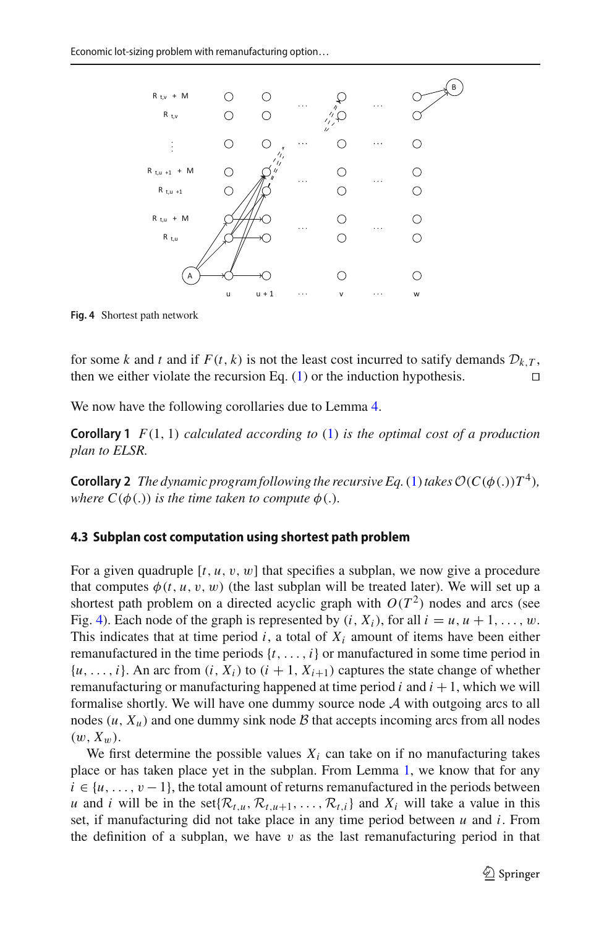

<span id="page-8-1"></span>**Fig. 4** Shortest path network

for some *k* and *t* and if  $F(t, k)$  is not the least cost incurred to satify demands  $\mathcal{D}_{k,T}$ , then we either violate the recursion Eq. (1) or the induction hypothesis. then we either violate the recursion Eq.  $(1)$  or the induction hypothesis.

We now have the following corollaries due to Lemma [4.](#page-7-1)

**Corollary 1** *F*(1, 1) *calculated according to* [\(1\)](#page-7-0) *is the optimal cost of a production plan to ELSR.*

<span id="page-8-2"></span>**Corollary 2** *The dynamic program following the recursive Eq.* [\(1\)](#page-7-0) *takes*  $\mathcal{O}(C(\phi(.))T^4)$ *, where*  $C(\phi(.))$  *is the time taken to compute*  $\phi(.)$ *.* 

# <span id="page-8-0"></span>**4.3 Subplan cost computation using shortest path problem**

For a given quadruple  $[t, u, v, w]$  that specifies a subplan, we now give a procedure that computes  $\phi(t, u, v, w)$  (the last subplan will be treated later). We will set up a shortest path problem on a directed acyclic graph with  $O(T^2)$  nodes and arcs (see Fig. [4\)](#page-8-1). Each node of the graph is represented by  $(i, X_i)$ , for all  $i = u, u + 1, \ldots, w$ . This indicates that at time period  $i$ , a total of  $X_i$  amount of items have been either remanufactured in the time periods  $\{t, \ldots, i\}$  or manufactured in some time period in  $\{u, \ldots, i\}$ . An arc from  $(i, X_i)$  to  $(i + 1, X_{i+1})$  captures the state change of whether remanufacturing or manufacturing happened at time period  $i$  and  $i + 1$ , which we will formalise shortly. We will have one dummy source node *A* with outgoing arcs to all nodes  $(u, X_u)$  and one dummy sink node  $\beta$  that accepts incoming arcs from all nodes  $(w, X_w)$ .

We first determine the possible values  $X_i$  can take on if no manufacturing takes place or has taken place yet in the subplan. From Lemma [1,](#page-5-2) we know that for any  $i \in \{u, \ldots, v-1\}$ , the total amount of returns remanufactured in the periods between *u* and *i* will be in the set $\{R_{t,u}, R_{t,u+1}, \ldots, R_{t,i}\}$  and  $X_i$  will take a value in this set, if manufacturing did not take place in any time period between *u* and *i*. From the definition of a subplan, we have  $v$  as the last remanufacturing period in that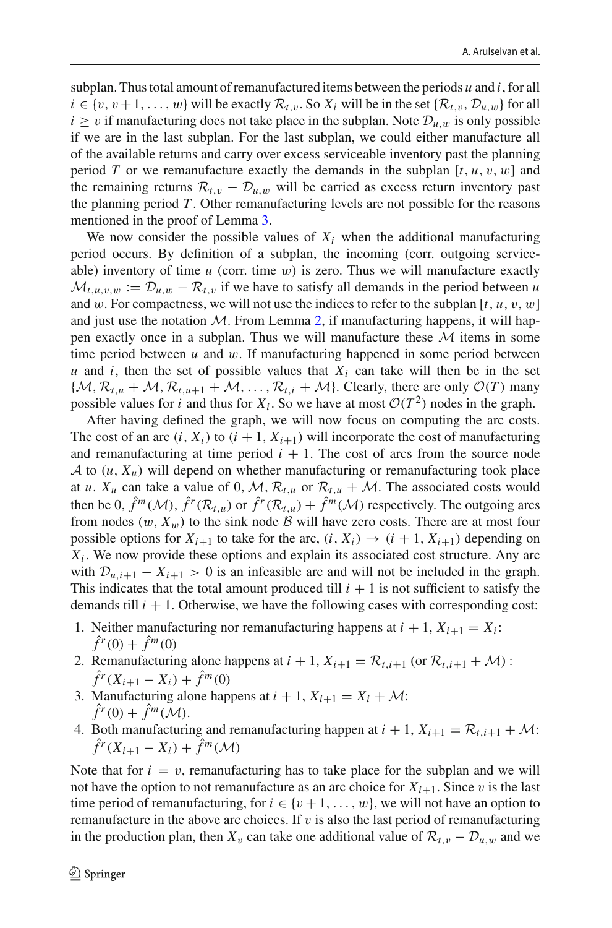subplan. Thus total amount of remanufactured items between the periods *u* and *i*, for all  $i \in \{v, v+1, \ldots, w\}$  will be exactly  $\mathcal{R}_{t,v}$ . So  $X_i$  will be in the set  $\{\mathcal{R}_{t,v}, \mathcal{D}_{u,w}\}$  for all  $i \geq v$  if manufacturing does not take place in the subplan. Note  $\mathcal{D}_{u,w}$  is only possible if we are in the last subplan. For the last subplan, we could either manufacture all of the available returns and carry over excess serviceable inventory past the planning period *T* or we remanufacture exactly the demands in the subplan  $[t, u, v, w]$  and the remaining returns  $\mathcal{R}_{t,v} - \mathcal{D}_{u,w}$  will be carried as excess return inventory past the planning period *T* . Other remanufacturing levels are not possible for the reasons mentioned in the proof of Lemma [3.](#page-6-1)

We now consider the possible values of  $X_i$  when the additional manufacturing period occurs. By definition of a subplan, the incoming (corr. outgoing serviceable) inventory of time  $u$  (corr. time  $w$ ) is zero. Thus we will manufacture exactly  $M_{t,u,v,w} := \mathcal{D}_{u,w} - \mathcal{R}_{t,v}$  if we have to satisfy all demands in the period between *u* and w. For compactness, we will not use the indices to refer to the subplan  $[t, u, v, w]$ and just use the notation  $M$ . From Lemma [2,](#page-5-3) if manufacturing happens, it will happen exactly once in a subplan. Thus we will manufacture these  $M$  items in some time period between *u* and w. If manufacturing happened in some period between *u* and *i*, then the set of possible values that  $X_i$  can take will then be in the set  $\{M, \mathcal{R}_{t,u} + \mathcal{M}, \mathcal{R}_{t,u+1} + \mathcal{M}, \ldots, \mathcal{R}_{t,i} + \mathcal{M}\}$ . Clearly, there are only  $\mathcal{O}(T)$  many possible values for *i* and thus for  $X_i$ . So we have at most  $O(T^2)$  nodes in the graph.

After having defined the graph, we will now focus on computing the arc costs. The cost of an arc  $(i, X_i)$  to  $(i + 1, X_{i+1})$  will incorporate the cost of manufacturing and remanufacturing at time period  $i + 1$ . The cost of arcs from the source node *A* to  $(u, X_u)$  will depend on whether manufacturing or remanufacturing took place at *u*.  $X_u$  can take a value of 0, M,  $\mathcal{R}_{t,u}$  or  $\mathcal{R}_{t,u} + \mathcal{M}$ . The associated costs would then be 0,  $\hat{f}^m(\mathcal{M})$ ,  $\hat{f}^r(\mathcal{R}_{t,u})$  or  $\hat{f}^r(\mathcal{R}_{t,u}) + \hat{f}^m(\mathcal{M})$  respectively. The outgoing arcs from nodes  $(w, X_w)$  to the sink node  $\beta$  will have zero costs. There are at most four possible options for  $X_{i+1}$  to take for the arc,  $(i, X_i) \rightarrow (i+1, X_{i+1})$  depending on  $X_i$ . We now provide these options and explain its associated cost structure. Any arc with  $D_{u,i+1} - X_{i+1} > 0$  is an infeasible arc and will not be included in the graph. This indicates that the total amount produced till  $i + 1$  is not sufficient to satisfy the demands till  $i + 1$ . Otherwise, we have the following cases with corresponding cost:

- 1. Neither manufacturing nor remanufacturing happens at  $i + 1$ ,  $X_{i+1} = X_i$ :  $\hat{f}^r(0) + \hat{f}^m(0)$
- 2. Remanufacturing alone happens at  $i + 1$ ,  $X_{i+1} = \mathcal{R}_{t,i+1}$  (or  $\mathcal{R}_{t,i+1} + \mathcal{M}$ ) :  $\hat{f}^r(X_{i+1} - X_i) + \hat{f}^m(0)$
- 3. Manufacturing alone happens at  $i + 1$ ,  $X_{i+1} = X_i + \mathcal{M}$ :  $\hat{f}^r(0) + \hat{f}^m(\mathcal{M})$ .
- 4. Both manufacturing and remanufacturing happen at  $i + 1$ ,  $X_{i+1} = \mathcal{R}_{t,i+1} + \mathcal{M}$ :  $\hat{f}^r(X_{i+1} - X_i) + \hat{f}^m(\mathcal{M})$

Note that for  $i = v$ , remanufacturing has to take place for the subplan and we will not have the option to not remanufacture as an arc choice for  $X_{i+1}$ . Since v is the last time period of remanufacturing, for  $i \in \{v+1, \ldots, w\}$ , we will not have an option to remanufacture in the above arc choices. If  $v$  is also the last period of remanufacturing in the production plan, then  $X_v$  can take one additional value of  $\mathcal{R}_{t,v} - \mathcal{D}_{u,w}$  and we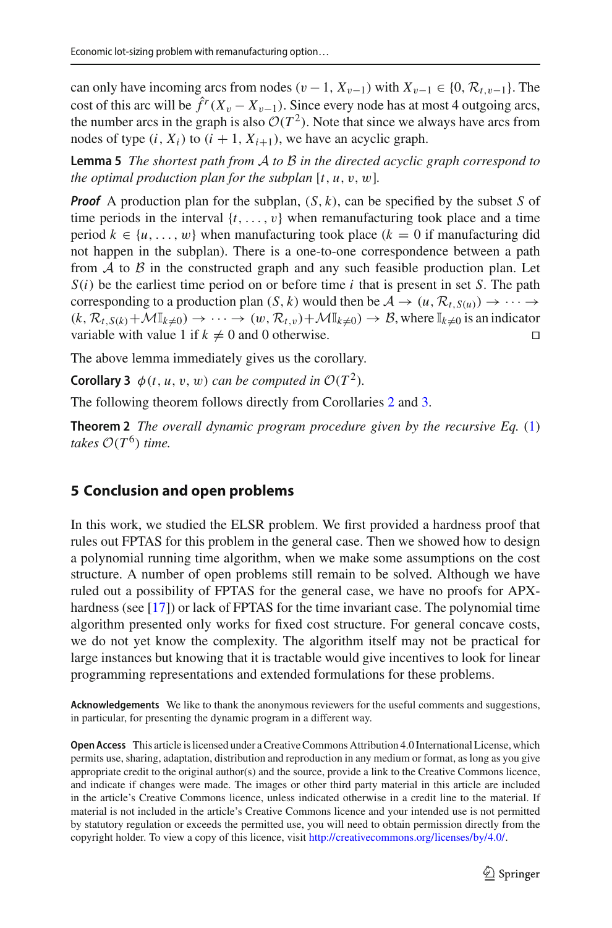can only have incoming arcs from nodes  $(v - 1, X_{v-1})$  with  $X_{v-1} \in \{0, \mathcal{R}_{t,v-1}\}.$  The cost of this arc will be  $\hat{f}^r(X_v - X_{v-1})$ . Since every node has at most 4 outgoing arcs, the number arcs in the graph is also  $O(T^2)$ . Note that since we always have arcs from nodes of type  $(i, X_i)$  to  $(i + 1, X_{i+1})$ , we have an acyclic graph.

**Lemma 5** *The shortest path from A to B in the directed acyclic graph correspond to the optimal production plan for the subplan*  $[t, u, v, w]$ *.* 

*Proof* A production plan for the subplan, (*S*, *k*), can be specified by the subset *S* of time periods in the interval  $\{t, \ldots, v\}$  when remanufacturing took place and a time period  $k \in \{u, \ldots, w\}$  when manufacturing took place  $(k = 0$  if manufacturing did not happen in the subplan). There is a one-to-one correspondence between a path from  $A$  to  $B$  in the constructed graph and any such feasible production plan. Let *S*(*i*) be the earliest time period on or before time *i* that is present in set *S*. The path corresponding to a production plan  $(S, k)$  would then be  $A \rightarrow (u, \mathcal{R}_{t, S(u)}) \rightarrow \cdots \rightarrow$  $(k, \mathcal{R}_{t, S(k)} + \mathcal{M} \mathbb{I}_{k \neq 0}) \rightarrow \cdots \rightarrow (w, \mathcal{R}_{t, v}) + \mathcal{M} \mathbb{I}_{k \neq 0} \rightarrow \mathcal{B}$ , where  $\mathbb{I}_{k \neq 0}$  is an indicator variable with value 1 if  $k \neq 0$  and 0 otherwise. variable with value 1 if  $k \neq 0$  and 0 otherwise.

<span id="page-10-0"></span>The above lemma immediately gives us the corollary.

**Corollary 3**  $\phi(t, u, v, w)$  *can be computed in*  $O(T^2)$ *.* 

The following theorem follows directly from Corollaries [2](#page-8-2) and [3.](#page-10-0)

**Theorem 2** *The overall dynamic program procedure given by the recursive Eq.* [\(1\)](#page-7-0) *takes*  $O(T^6)$  *time.* 

### **5 Conclusion and open problems**

In this work, we studied the ELSR problem. We first provided a hardness proof that rules out FPTAS for this problem in the general case. Then we showed how to design a polynomial running time algorithm, when we make some assumptions on the cost structure. A number of open problems still remain to be solved. Although we have ruled out a possibility of FPTAS for the general case, we have no proofs for APX-hardness (see [\[17](#page-11-15)]) or lack of FPTAS for the time invariant case. The polynomial time algorithm presented only works for fixed cost structure. For general concave costs, we do not yet know the complexity. The algorithm itself may not be practical for large instances but knowing that it is tractable would give incentives to look for linear programming representations and extended formulations for these problems.

**Acknowledgements** We like to thank the anonymous reviewers for the useful comments and suggestions, in particular, for presenting the dynamic program in a different way.

**Open Access** This article is licensed under a Creative Commons Attribution 4.0 International License, which permits use, sharing, adaptation, distribution and reproduction in any medium or format, as long as you give appropriate credit to the original author(s) and the source, provide a link to the Creative Commons licence, and indicate if changes were made. The images or other third party material in this article are included in the article's Creative Commons licence, unless indicated otherwise in a credit line to the material. If material is not included in the article's Creative Commons licence and your intended use is not permitted by statutory regulation or exceeds the permitted use, you will need to obtain permission directly from the copyright holder. To view a copy of this licence, visit [http://creativecommons.org/licenses/by/4.0/.](http://creativecommons.org/licenses/by/4.0/)